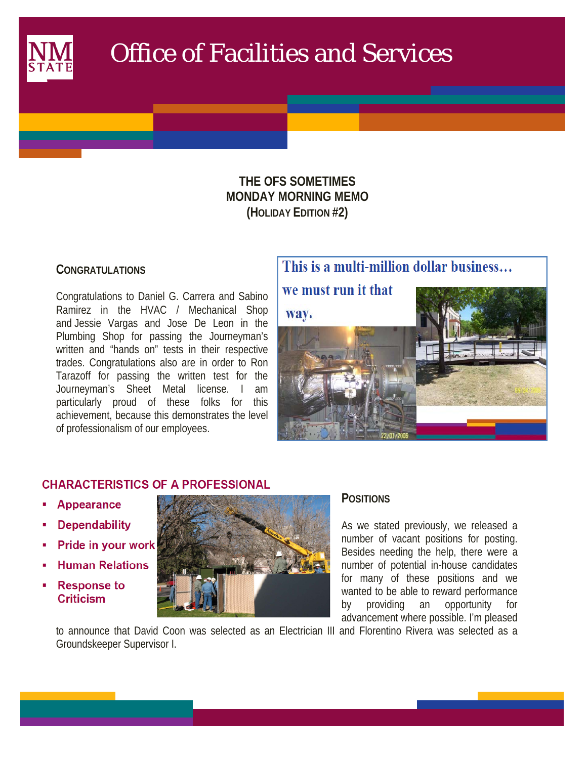

# Office of Facilities and Services

## **THE OFS SOMETIMES MONDAY MORNING MEMO (HOLIDAY EDITION #2)**

## **CONGRATULATIONS**

 $\mathcal{L}(\mathcal{L})$ 

Congratulations to Daniel G. Carrera and Sabino Ramirez in the HVAC / Mechanical Shop and Jessie Vargas and Jose De Leon in the Plumbing Shop for passing the Journeyman's written and "hands on" tests in their respective trades. Congratulations also are in order to Ron Tarazoff for passing the written test for the Journeyman's Sheet Metal license. I am particularly proud of these folks for this achievement, because this demonstrates the level of professionalism of our employees.



## **CHARACTERISTICS OF A PROFESSIONAL**

- **Appearance**
- **Dependability**
- Pride in your work
- **Human Relations**
- **Response to Criticism**



## **POSITIONS**

As we stated previously, we released a number of vacant positions for posting. Besides needing the help, there were a number of potential in-house candidates for many of these positions and we wanted to be able to reward performance by providing an opportunity for advancement where possible. I'm pleased

to announce that David Coon was selected as an Electrician III and Florentino Rivera was selected as a Groundskeeper Supervisor I.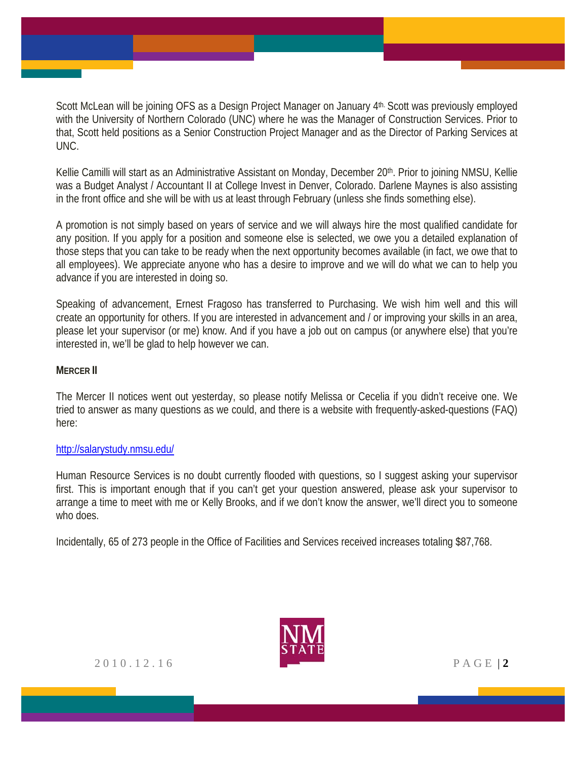Scott McLean will be joining OFS as a Design Project Manager on January 4th. Scott was previously employed with the University of Northern Colorado (UNC) where he was the Manager of Construction Services. Prior to that, Scott held positions as a Senior Construction Project Manager and as the Director of Parking Services at UNC.

Kellie Camilli will start as an Administrative Assistant on Monday, December 20th. Prior to joining NMSU, Kellie was a Budget Analyst / Accountant II at College Invest in Denver, Colorado. Darlene Maynes is also assisting in the front office and she will be with us at least through February (unless she finds something else).

A promotion is not simply based on years of service and we will always hire the most qualified candidate for any position. If you apply for a position and someone else is selected, we owe you a detailed explanation of those steps that you can take to be ready when the next opportunity becomes available (in fact, we owe that to all employees). We appreciate anyone who has a desire to improve and we will do what we can to help you advance if you are interested in doing so.

Speaking of advancement, Ernest Fragoso has transferred to Purchasing. We wish him well and this will create an opportunity for others. If you are interested in advancement and / or improving your skills in an area, please let your supervisor (or me) know. And if you have a job out on campus (or anywhere else) that you're interested in, we'll be glad to help however we can.

#### **MERCER II**

The Mercer II notices went out yesterday, so please notify Melissa or Cecelia if you didn't receive one. We tried to answer as many questions as we could, and there is a website with frequently-asked-questions (FAQ) here:

#### http://salarystudy.nmsu.edu/

Human Resource Services is no doubt currently flooded with questions, so I suggest asking your supervisor first. This is important enough that if you can't get your question answered, please ask your supervisor to arrange a time to meet with me or Kelly Brooks, and if we don't know the answer, we'll direct you to someone who does.

Incidentally, 65 of 273 people in the Office of Facilities and Services received increases totaling \$87,768.



2010.12.16 PAGE | **2**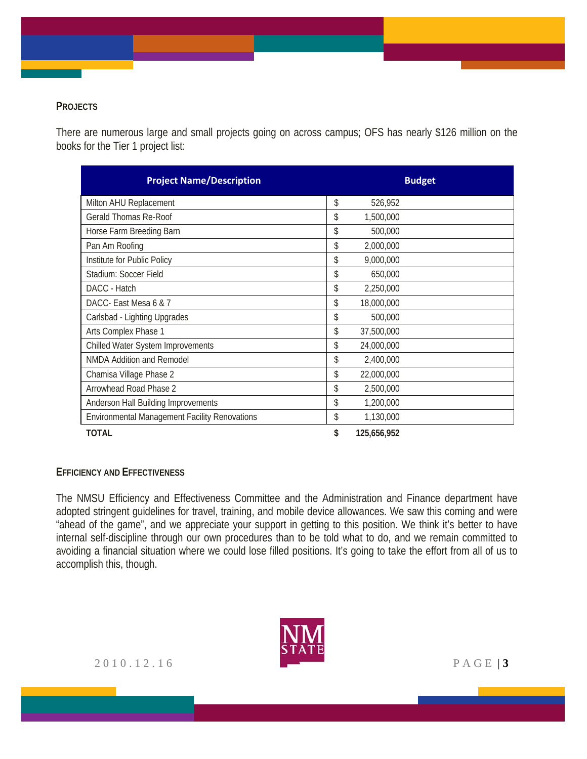### **PROJECTS**

There are numerous large and small projects going on across campus; OFS has nearly \$126 million on the books for the Tier 1 project list:

| <b>Project Name/Description</b>                      | <b>Budget</b>     |
|------------------------------------------------------|-------------------|
| Milton AHU Replacement                               | \$<br>526,952     |
| Gerald Thomas Re-Roof                                | \$<br>1,500,000   |
| Horse Farm Breeding Barn                             | \$<br>500,000     |
| Pan Am Roofing                                       | \$<br>2,000,000   |
| Institute for Public Policy                          | \$<br>9,000,000   |
| Stadium: Soccer Field                                | \$<br>650,000     |
| DACC - Hatch                                         | \$<br>2,250,000   |
| DACC- East Mesa 6 & 7                                | \$<br>18,000,000  |
| Carlsbad - Lighting Upgrades                         | \$<br>500,000     |
| Arts Complex Phase 1                                 | \$<br>37,500,000  |
| Chilled Water System Improvements                    | \$<br>24,000,000  |
| <b>NMDA Addition and Remodel</b>                     | \$<br>2,400,000   |
| Chamisa Village Phase 2                              | \$<br>22,000,000  |
| Arrowhead Road Phase 2                               | \$<br>2,500,000   |
| Anderson Hall Building Improvements                  | \$<br>1,200,000   |
| <b>Environmental Management Facility Renovations</b> | \$<br>1,130,000   |
| TOTAL                                                | \$<br>125,656,952 |

#### **EFFICIENCY AND EFFECTIVENESS**

The NMSU Efficiency and Effectiveness Committee and the Administration and Finance department have adopted stringent guidelines for travel, training, and mobile device allowances. We saw this coming and were "ahead of the game", and we appreciate your support in getting to this position. We think it's better to have internal self-discipline through our own procedures than to be told what to do, and we remain committed to avoiding a financial situation where we could lose filled positions. It's going to take the effort from all of us to accomplish this, though.

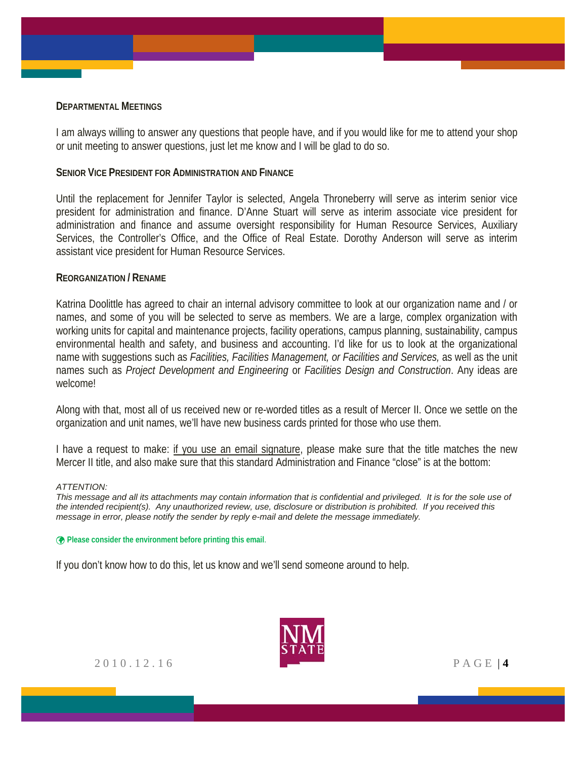#### **DEPARTMENTAL MEETINGS**

I am always willing to answer any questions that people have, and if you would like for me to attend your shop or unit meeting to answer questions, just let me know and I will be glad to do so.

#### **SENIOR VICE PRESIDENT FOR ADMINISTRATION AND FINANCE**

Until the replacement for Jennifer Taylor is selected, Angela Throneberry will serve as interim senior vice president for administration and finance. D'Anne Stuart will serve as interim associate vice president for administration and finance and assume oversight responsibility for Human Resource Services, Auxiliary Services, the Controller's Office, and the Office of Real Estate. Dorothy Anderson will serve as interim assistant vice president for Human Resource Services.

#### **REORGANIZATION / RENAME**

Katrina Doolittle has agreed to chair an internal advisory committee to look at our organization name and / or names, and some of you will be selected to serve as members. We are a large, complex organization with working units for capital and maintenance projects, facility operations, campus planning, sustainability, campus environmental health and safety, and business and accounting. I'd like for us to look at the organizational name with suggestions such as *Facilities, Facilities Management, or Facilities and Services,* as well as the unit names such as *Project Development and Engineering* or *Facilities Design and Construction*. Any ideas are welcome!

Along with that, most all of us received new or re-worded titles as a result of Mercer II. Once we settle on the organization and unit names, we'll have new business cards printed for those who use them.

I have a request to make: if you use an email signature, please make sure that the title matches the new Mercer II title, and also make sure that this standard Administration and Finance "close" is at the bottom:

#### *ATTENTION:*

*This message and all its attachments may contain information that is confidential and privileged. It is for the sole use of the intended recipient(s). Any unauthorized review, use, disclosure or distribution is prohibited. If you received this message in error, please notify the sender by reply e-mail and delete the message immediately.*

**Please consider the environment before printing this email**.

If you don't know how to do this, let us know and we'll send someone around to help.

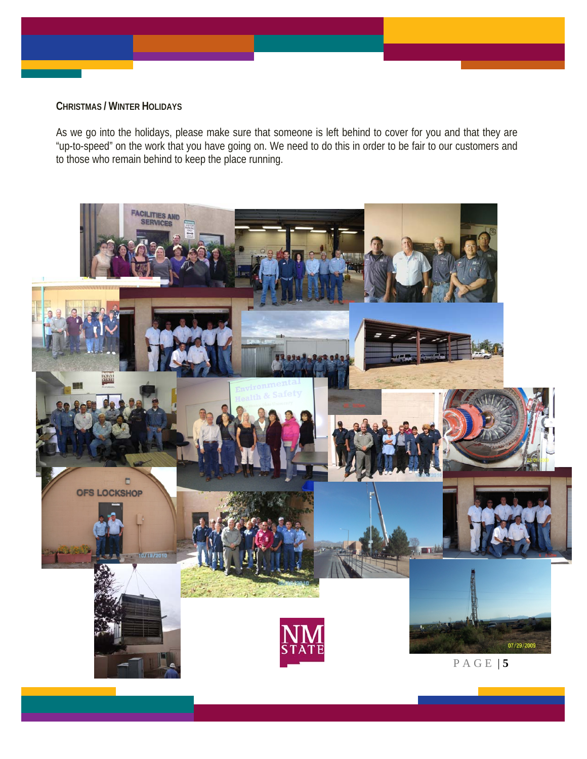#### **CHRISTMAS / WINTER HOLIDAYS**

As we go into the holidays, please make sure that someone is left behind to cover for you and that they are "up-to-speed" on the work that you have going on. We need to do this in order to be fair to our customers and to those who remain behind to keep the place running.